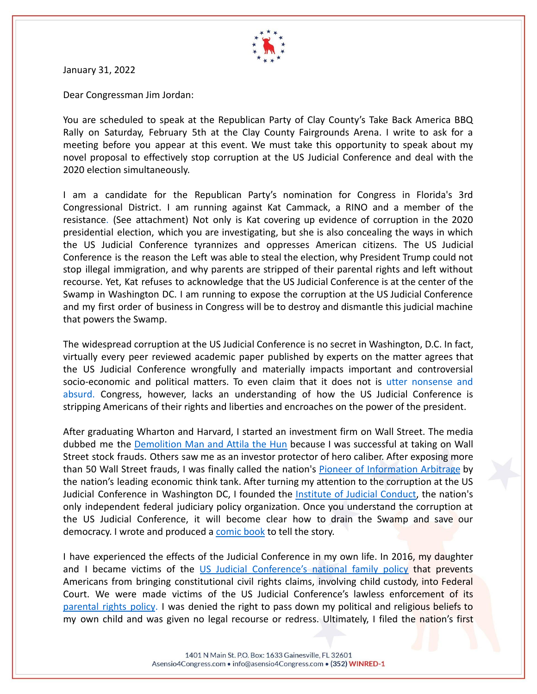

January 31, 2022

Dear Congressman Jim Jordan:

You are scheduled to speak at the Republican Party of Clay County's Take Back America BBQ Rally on Saturday, February 5th at the Clay County Fairgrounds Arena. I write to ask for a meeting before you appear at this event. We must take this opportunity to speak about my novel proposal to effectively stop corruption at the US Judicial Conference and deal with the 2020 election simultaneously.

I am a candidate for the Republican Party's nomination for Congress in Florida's 3rd Congressional District. I am running against Kat Cammack, a RINO and a member of the resistance. (See attachment) Not only is Kat covering up evidence of corruption in the 2020 presidential election, which you are investigating, but she is also concealing the ways in which the US Judicial Conference tyrannizes and oppresses American citizens. The US Judicial Conference is the reason the Left was able to steal the election, why President Trump could not stop illegal immigration, and why parents are stripped of their parental rights and left without recourse. Yet, Kat refuses to acknowledge that the US Judicial Conference is at the center of the Swamp in Washington DC. I am running to expose the corruption at the US Judicial Conference and my first order of business in Congress will be to destroy and dismantle this judicial machine that powers the Swamp.

The widespread corruption at the US Judicial Conference is no secret in Washington, D.C. In fact, virtually every peer reviewed academic paper published by experts on the matter agrees that the US Judicial Conference wrongfully and materially impacts important and controversial socio-economic and political matters. To even claim that it does not is utter [nonsense](https://judicialconduct.org/roberts-hiding-in-the-open/) and [absurd.](https://judicialconduct.org/roberts-hiding-in-the-open/) Congress, however, lacks an understanding of how the US Judicial Conference is stripping Americans of their rights and liberties and encroaches on the power of the president.

After graduating Wharton and Harvard, I started an investment firm on Wall Street. The media dubbed me the [Demolition](https://1be796b9-764e-456f-a7c1-f4570dd44d2a.usrfiles.com/ugd/1be796_8c5b80a707894aca9e0dee8802efc951.pdf) Man and Attila the Hun because I was successful at taking on Wall Street stock frauds. Others saw me as an investor protector of hero caliber. After exposing more than 50 Wall Street frauds, I was finally called the nation's Pioneer of [Information](https://asensio.com/pioneer-of-information-arbitrage/) Arbitrage by the nation's leading economic think tank. After turning my attention to the corruption at the US Judicial Conference in Washington DC, I founded the Institute of Judicial [Conduct,](https://judicialconduct.org/) the nation's only independent federal judiciary policy organization. Once you understand the corruption at the US Judicial Conference, it will become clear how to drain the Swamp and save our democracy. I wrote and produced a [comic book](https://secureservercdn.net/192.169.220.245/u5t.2b0.myftpupload.com/wp-content/uploads/2021/06/TRUMP-IN-THE-CONSIDERATION.pdf) to tell the story.

I have experienced the effects of the Judicial Conference in my own life. In 2016, my daughter and I became victims of the US Judicial [Conference's](https://judicialconduct.org/dre-supreme-court-cases/) national family policy that prevents Americans from bringing constitutional civil rights claims, involving child custody, into Federal Court. We were made victims of the US Judicial Conference's lawless enforcement of its [parental](https://judicialconduct.org/roberts-abolishing-parents-rights/) rights policy. I was denied the right to pass down my political and religious beliefs to my own child and was given no legal recourse or redress. Ultimately, I filed the nation's first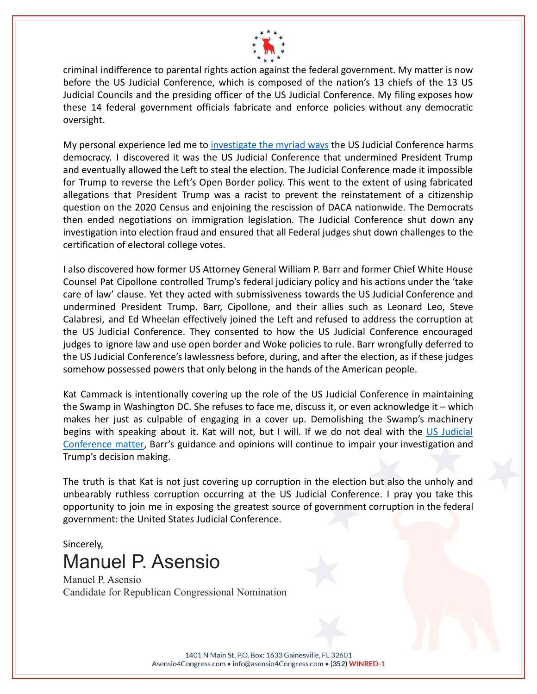

criminal indifference to parental rights action against the federal government. My matter is now before the US Judicial Conference, which is composed of the nation's 13 chiefs of the 13 US Judicial Councils and the presiding officer of the US Judicial Conference. My filing exposes how these 14 federal government officials fabricate and enforce policies without any democratic oversight.

My personal experience led me to [investigate](https://secureservercdn.net/192.169.220.245/u5t.2b0.myftpupload.com/wp-content/uploads/2021/06/ANNEX-1-SDNY-218.pdf) the myriad ways the US Judicial Conference harms democracy. I discovered it was the US Judicial Conference that undermined President Trump and eventually allowed the Left to steal the election. The Judicial Conference made it impossible for Trump to reverse the Left's Open Border policy. This went to the extent of using fabricated allegations that President Trump was a racist to prevent the reinstatement of a citizenship question on the 2020 Census and enjoining the rescission of DACA nationwide. The Democrats then ended negotiations on immigration legislation. The Judicial Conference shut down any investigation into election fraud and ensured that all Federal judges shut down challenges to the certification of electoral college votes.

I also discovered how former US Attorney General William P. Barr and former Chief White House Counsel Pat Cipollone controlled Trump's federal judiciary policy and his actions under the 'take care of law' clause. Yet they acted with submissiveness towards the US Judicial Conference and undermined President Trump. Barr, Cipollone, and their allies such as Leonard Leo, Steve Calabresi, and Ed Wheelan effectively joined the Left and refused to address the corruption at the US Judicial Conference. They consented to how the US Judicial Conference encouraged judges to ignore law and use open border and Woke policies to rule. Barr wrongfully deferred to the US Judicial Conference's lawlessness before, during, and after the election, as if these judges somehow possessed powers that only belong in the hands of the American people.

Kat Cammack is intentionally covering up the role of the US Judicial Conference in maintaining the Swamp in Washington DC. She refuses to face me, discuss it, or even acknowledge it – which makes her just as culpable of engaging in a cover up. Demolishing the Swamp's machinery begins with speaking about it. Kat will not, but I will. If we do not deal with the US [Judicial](https://judicialconduct.org/is-barr-wrongfully-deferential-to-roberts/) [Conference](https://judicialconduct.org/is-barr-wrongfully-deferential-to-roberts/) matter, Barr's guidance and opinions will continue to impair your investigation and Trump's decision making.

The truth is that Kat is not just covering up corruption in the election but also the unholy and unbearably ruthless corruption occurring at the US Judicial Conference. I pray you take this opportunity to join me in exposing the greatest source of government corruption in the federal government: the United States Judicial Conference.

## Sincerely, Manuel P. Asensio

Manuel P. Asensio Candidate for Republican Congressional Nomination

> 1401 N Main St. P.O. Box: 1633 Gainesville, FL 32601 Asensio4Congress.com · info@asensio4Congress.com · (352) WINRED-1